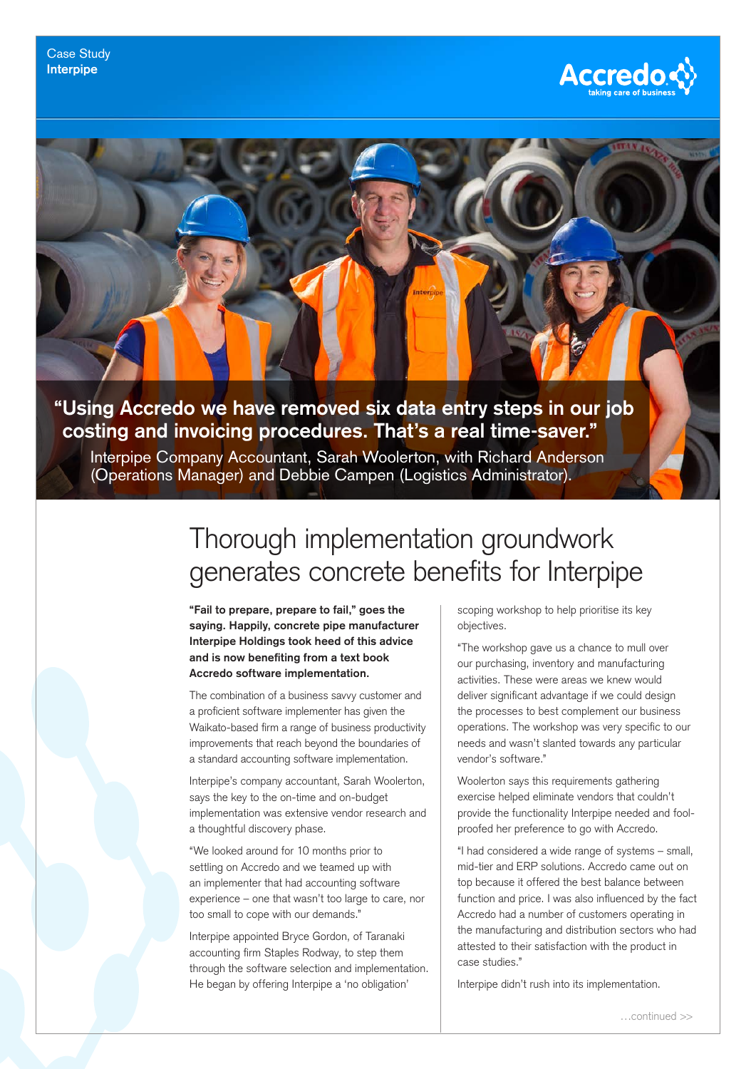

## **"Using Accredo we have removed six data entry steps in our job costing and invoicing procedures. That's a real time-saver."**

Interpipe Company Accountant, Sarah Woolerton, with Richard Anderson (Operations Manager) and Debbie Campen (Logistics Administrator).

## Thorough implementation groundwork generates concrete benefits for Interpipe

**"Fail to prepare, prepare to fail," goes the saying. Happily, concrete pipe manufacturer Interpipe Holdings took heed of this advice and is now benefiting from a text book Accredo software implementation.** 

The combination of a business savvy customer and a proficient software implementer has given the Waikato-based firm a range of business productivity improvements that reach beyond the boundaries of a standard accounting software implementation.

Interpipe's company accountant, Sarah Woolerton, says the key to the on-time and on-budget implementation was extensive vendor research and a thoughtful discovery phase.

"We looked around for 10 months prior to settling on Accredo and we teamed up with an implementer that had accounting software experience – one that wasn't too large to care, nor too small to cope with our demands."

Interpipe appointed Bryce Gordon, of Taranaki accounting firm Staples Rodway, to step them through the software selection and implementation. He began by offering Interpipe a 'no obligation'

scoping workshop to help prioritise its key objectives.

"The workshop gave us a chance to mull over our purchasing, inventory and manufacturing activities. These were areas we knew would deliver significant advantage if we could design the processes to best complement our business operations. The workshop was very specific to our needs and wasn't slanted towards any particular vendor's software."

Woolerton says this requirements gathering exercise helped eliminate vendors that couldn't provide the functionality Interpipe needed and foolproofed her preference to go with Accredo.

"I had considered a wide range of systems – small, mid-tier and ERP solutions. Accredo came out on top because it offered the best balance between function and price. I was also influenced by the fact Accredo had a number of customers operating in the manufacturing and distribution sectors who had attested to their satisfaction with the product in case studies."

Interpipe didn't rush into its implementation.